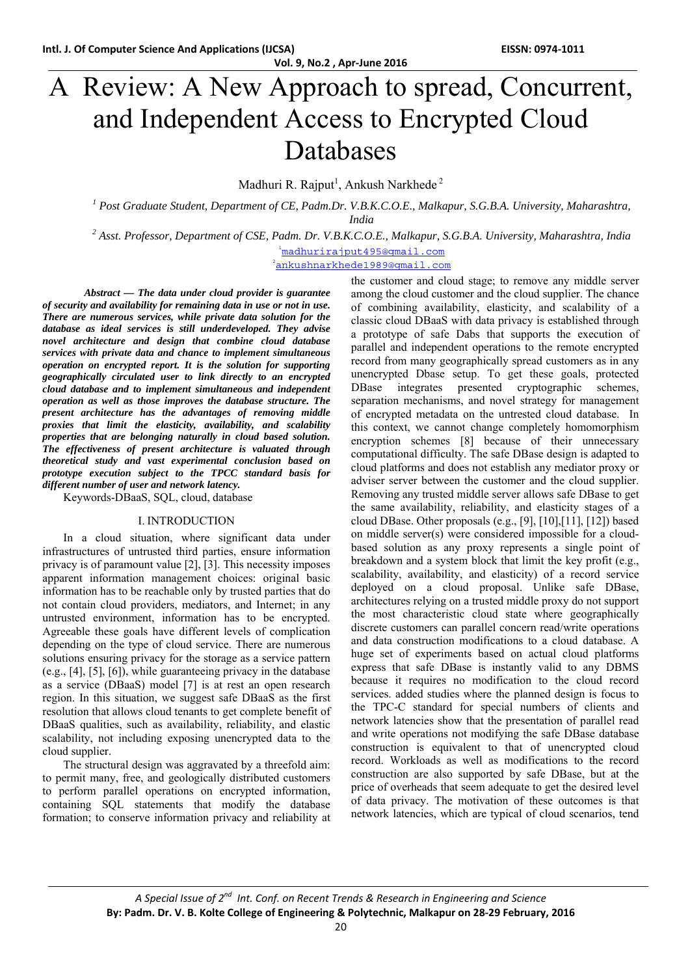# A Review: A New Approach to spread, Concurrent, and Independent Access to Encrypted Cloud Databases

Madhuri R. Rajput<sup>1</sup>, Ankush Narkhede<sup>2</sup>

<sup>1</sup> Post Graduate Student, Department of CE, Padm.Dr. V.B.K.C.O.E., Malkapur, S.G.B.A. University, Maharashtra, *India* 

*2 Asst. Professor, Department of CSE, Padm. Dr. V.B.K.C.O.E., Malkapur, S.G.B.A. University, Maharashtra, India* 

<sup>1</sup>madhurirajput495@qmail.com

2 ankushnarkhede1989@gmail.com

*Abstract — The data under cloud provider is guarantee of security and availability for remaining data in use or not in use. There are numerous services, while private data solution for the database as ideal services is still underdeveloped. They advise novel architecture and design that combine cloud database services with private data and chance to implement simultaneous operation on encrypted report. It is the solution for supporting geographically circulated user to link directly to an encrypted cloud database and to implement simultaneous and independent operation as well as those improves the database structure. The present architecture has the advantages of removing middle proxies that limit the elasticity, availability, and scalability properties that are belonging naturally in cloud based solution. The effectiveness of present architecture is valuated through theoretical study and vast experimental conclusion based on prototype execution subject to the TPCC standard basis for different number of user and network latency.* 

Keywords-DBaaS, SQL, cloud, database

#### I. INTRODUCTION

In a cloud situation, where significant data under infrastructures of untrusted third parties, ensure information privacy is of paramount value [2], [3]. This necessity imposes apparent information management choices: original basic information has to be reachable only by trusted parties that do not contain cloud providers, mediators, and Internet; in any untrusted environment, information has to be encrypted. Agreeable these goals have different levels of complication depending on the type of cloud service. There are numerous solutions ensuring privacy for the storage as a service pattern (e.g., [4], [5], [6]), while guaranteeing privacy in the database as a service (DBaaS) model [7] is at rest an open research region. In this situation, we suggest safe DBaaS as the first resolution that allows cloud tenants to get complete benefit of DBaaS qualities, such as availability, reliability, and elastic scalability, not including exposing unencrypted data to the cloud supplier.

The structural design was aggravated by a threefold aim: to permit many, free, and geologically distributed customers to perform parallel operations on encrypted information, containing SQL statements that modify the database formation; to conserve information privacy and reliability at

the customer and cloud stage; to remove any middle server among the cloud customer and the cloud supplier. The chance of combining availability, elasticity, and scalability of a classic cloud DBaaS with data privacy is established through a prototype of safe Dabs that supports the execution of parallel and independent operations to the remote encrypted record from many geographically spread customers as in any unencrypted Dbase setup. To get these goals, protected DBase integrates presented cryptographic schemes, separation mechanisms, and novel strategy for management of encrypted metadata on the untrested cloud database. In this context, we cannot change completely homomorphism encryption schemes [8] because of their unnecessary computational difficulty. The safe DBase design is adapted to cloud platforms and does not establish any mediator proxy or adviser server between the customer and the cloud supplier. Removing any trusted middle server allows safe DBase to get the same availability, reliability, and elasticity stages of a cloud DBase. Other proposals (e.g., [9], [10],[11], [12]) based on middle server(s) were considered impossible for a cloudbased solution as any proxy represents a single point of breakdown and a system block that limit the key profit (e.g., scalability, availability, and elasticity) of a record service deployed on a cloud proposal. Unlike safe DBase, architectures relying on a trusted middle proxy do not support the most characteristic cloud state where geographically discrete customers can parallel concern read/write operations and data construction modifications to a cloud database. A huge set of experiments based on actual cloud platforms express that safe DBase is instantly valid to any DBMS because it requires no modification to the cloud record services. added studies where the planned design is focus to the TPC-C standard for special numbers of clients and network latencies show that the presentation of parallel read and write operations not modifying the safe DBase database construction is equivalent to that of unencrypted cloud record. Workloads as well as modifications to the record construction are also supported by safe DBase, but at the price of overheads that seem adequate to get the desired level of data privacy. The motivation of these outcomes is that network latencies, which are typical of cloud scenarios, tend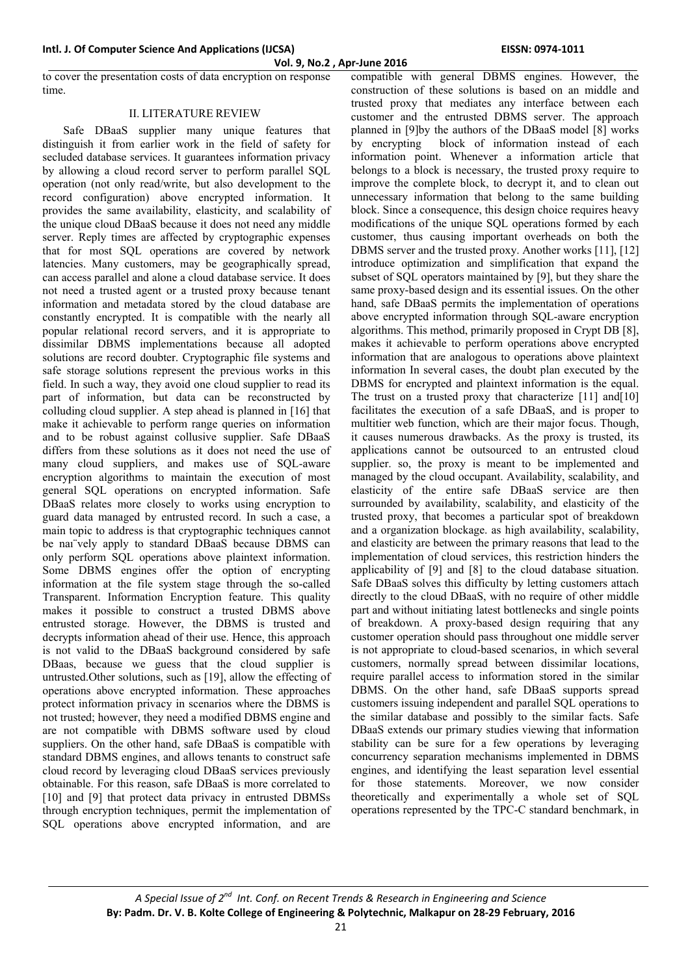**Vol. 9, No.2 , Apr‐June 2016**

to cover the presentation costs of data encryption on response time.

# II. LITERATURE REVIEW

Safe DBaaS supplier many unique features that distinguish it from earlier work in the field of safety for secluded database services. It guarantees information privacy by allowing a cloud record server to perform parallel SQL operation (not only read/write, but also development to the record configuration) above encrypted information. It provides the same availability, elasticity, and scalability of the unique cloud DBaaS because it does not need any middle server. Reply times are affected by cryptographic expenses that for most SQL operations are covered by network latencies. Many customers, may be geographically spread, can access parallel and alone a cloud database service. It does not need a trusted agent or a trusted proxy because tenant information and metadata stored by the cloud database are constantly encrypted. It is compatible with the nearly all popular relational record servers, and it is appropriate to dissimilar DBMS implementations because all adopted solutions are record doubter. Cryptographic file systems and safe storage solutions represent the previous works in this field. In such a way, they avoid one cloud supplier to read its part of information, but data can be reconstructed by colluding cloud supplier. A step ahead is planned in [16] that make it achievable to perform range queries on information and to be robust against collusive supplier. Safe DBaaS differs from these solutions as it does not need the use of many cloud suppliers, and makes use of SQL-aware encryption algorithms to maintain the execution of most general SQL operations on encrypted information. Safe DBaaS relates more closely to works using encryption to guard data managed by entrusted record. In such a case, a main topic to address is that cryptographic techniques cannot be naı¨vely apply to standard DBaaS because DBMS can only perform SQL operations above plaintext information. Some DBMS engines offer the option of encrypting information at the file system stage through the so-called Transparent. Information Encryption feature. This quality makes it possible to construct a trusted DBMS above entrusted storage. However, the DBMS is trusted and decrypts information ahead of their use. Hence, this approach is not valid to the DBaaS background considered by safe DBaas, because we guess that the cloud supplier is untrusted.Other solutions, such as [19], allow the effecting of operations above encrypted information. These approaches protect information privacy in scenarios where the DBMS is not trusted; however, they need a modified DBMS engine and are not compatible with DBMS software used by cloud suppliers. On the other hand, safe DBaaS is compatible with standard DBMS engines, and allows tenants to construct safe cloud record by leveraging cloud DBaaS services previously obtainable. For this reason, safe DBaaS is more correlated to [10] and [9] that protect data privacy in entrusted DBMSs through encryption techniques, permit the implementation of SQL operations above encrypted information, and are

compatible with general DBMS engines. However, the construction of these solutions is based on an middle and trusted proxy that mediates any interface between each customer and the entrusted DBMS server. The approach planned in [9]by the authors of the DBaaS model [8] works by encrypting block of information instead of each information point. Whenever a information article that belongs to a block is necessary, the trusted proxy require to improve the complete block, to decrypt it, and to clean out unnecessary information that belong to the same building block. Since a consequence, this design choice requires heavy modifications of the unique SQL operations formed by each customer, thus causing important overheads on both the DBMS server and the trusted proxy. Another works [11], [12] introduce optimization and simplification that expand the subset of SQL operators maintained by [9], but they share the same proxy-based design and its essential issues. On the other hand, safe DBaaS permits the implementation of operations above encrypted information through SQL-aware encryption algorithms. This method, primarily proposed in Crypt DB [8], makes it achievable to perform operations above encrypted information that are analogous to operations above plaintext information In several cases, the doubt plan executed by the DBMS for encrypted and plaintext information is the equal. The trust on a trusted proxy that characterize [11] and [10] facilitates the execution of a safe DBaaS, and is proper to multitier web function, which are their major focus. Though, it causes numerous drawbacks. As the proxy is trusted, its applications cannot be outsourced to an entrusted cloud supplier. so, the proxy is meant to be implemented and managed by the cloud occupant. Availability, scalability, and elasticity of the entire safe DBaaS service are then surrounded by availability, scalability, and elasticity of the trusted proxy, that becomes a particular spot of breakdown and a organization blockage. as high availability, scalability, and elasticity are between the primary reasons that lead to the implementation of cloud services, this restriction hinders the applicability of [9] and [8] to the cloud database situation. Safe DBaaS solves this difficulty by letting customers attach directly to the cloud DBaaS, with no require of other middle part and without initiating latest bottlenecks and single points of breakdown. A proxy-based design requiring that any customer operation should pass throughout one middle server is not appropriate to cloud-based scenarios, in which several customers, normally spread between dissimilar locations, require parallel access to information stored in the similar DBMS. On the other hand, safe DBaaS supports spread customers issuing independent and parallel SQL operations to the similar database and possibly to the similar facts. Safe DBaaS extends our primary studies viewing that information stability can be sure for a few operations by leveraging concurrency separation mechanisms implemented in DBMS engines, and identifying the least separation level essential for those statements. Moreover, we now consider theoretically and experimentally a whole set of SQL operations represented by the TPC-C standard benchmark, in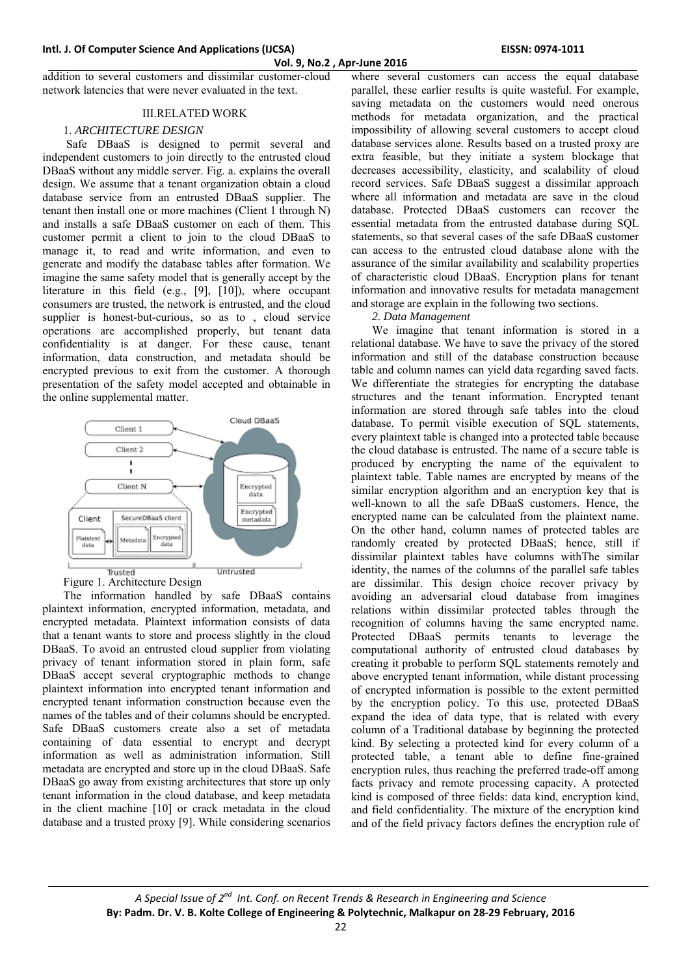#### **Vol. 9, No.2 , Apr‐June 2016**

addition to several customers and dissimilar customer-cloud network latencies that were never evaluated in the text.

#### **III RELATED WORK**

## 1. *ARCHITECTURE DESIGN*

 Safe DBaaS is designed to permit several and independent customers to join directly to the entrusted cloud DBaaS without any middle server. Fig. a. explains the overall design. We assume that a tenant organization obtain a cloud database service from an entrusted DBaaS supplier. The tenant then install one or more machines (Client 1 through N) and installs a safe DBaaS customer on each of them. This customer permit a client to join to the cloud DBaaS to manage it, to read and write information, and even to generate and modify the database tables after formation. We imagine the same safety model that is generally accept by the literature in this field (e.g., [9], [10]), where occupant consumers are trusted, the network is entrusted, and the cloud supplier is honest-but-curious, so as to , cloud service operations are accomplished properly, but tenant data confidentiality is at danger. For these cause, tenant information, data construction, and metadata should be encrypted previous to exit from the customer. A thorough presentation of the safety model accepted and obtainable in the online supplemental matter.



The information handled by safe DBaaS contains plaintext information, encrypted information, metadata, and encrypted metadata. Plaintext information consists of data that a tenant wants to store and process slightly in the cloud DBaaS. To avoid an entrusted cloud supplier from violating privacy of tenant information stored in plain form, safe DBaaS accept several cryptographic methods to change plaintext information into encrypted tenant information and encrypted tenant information construction because even the names of the tables and of their columns should be encrypted. Safe DBaaS customers create also a set of metadata containing of data essential to encrypt and decrypt information as well as administration information. Still metadata are encrypted and store up in the cloud DBaaS. Safe DBaaS go away from existing architectures that store up only tenant information in the cloud database, and keep metadata in the client machine [10] or crack metadata in the cloud database and a trusted proxy [9]. While considering scenarios

where several customers can access the equal database parallel, these earlier results is quite wasteful. For example, saving metadata on the customers would need onerous methods for metadata organization, and the practical impossibility of allowing several customers to accept cloud database services alone. Results based on a trusted proxy are extra feasible, but they initiate a system blockage that decreases accessibility, elasticity, and scalability of cloud record services. Safe DBaaS suggest a dissimilar approach where all information and metadata are save in the cloud database. Protected DBaaS customers can recover the essential metadata from the entrusted database during SQL statements, so that several cases of the safe DBaaS customer can access to the entrusted cloud database alone with the assurance of the similar availability and scalability properties of characteristic cloud DBaaS. Encryption plans for tenant information and innovative results for metadata management and storage are explain in the following two sections.

### *2. Data Management*

We imagine that tenant information is stored in a relational database. We have to save the privacy of the stored information and still of the database construction because table and column names can yield data regarding saved facts. We differentiate the strategies for encrypting the database structures and the tenant information. Encrypted tenant information are stored through safe tables into the cloud database. To permit visible execution of SQL statements, every plaintext table is changed into a protected table because the cloud database is entrusted. The name of a secure table is produced by encrypting the name of the equivalent to plaintext table. Table names are encrypted by means of the similar encryption algorithm and an encryption key that is well-known to all the safe DBaaS customers. Hence, the encrypted name can be calculated from the plaintext name. On the other hand, column names of protected tables are randomly created by protected DBaaS; hence, still if dissimilar plaintext tables have columns withThe similar identity, the names of the columns of the parallel safe tables are dissimilar. This design choice recover privacy by avoiding an adversarial cloud database from imagines relations within dissimilar protected tables through the recognition of columns having the same encrypted name. Protected DBaaS permits tenants to leverage the computational authority of entrusted cloud databases by creating it probable to perform SQL statements remotely and above encrypted tenant information, while distant processing of encrypted information is possible to the extent permitted by the encryption policy. To this use, protected DBaaS expand the idea of data type, that is related with every column of a Traditional database by beginning the protected kind. By selecting a protected kind for every column of a protected table, a tenant able to define fine-grained encryption rules, thus reaching the preferred trade-off among facts privacy and remote processing capacity. A protected kind is composed of three fields: data kind, encryption kind, and field confidentiality. The mixture of the encryption kind and of the field privacy factors defines the encryption rule of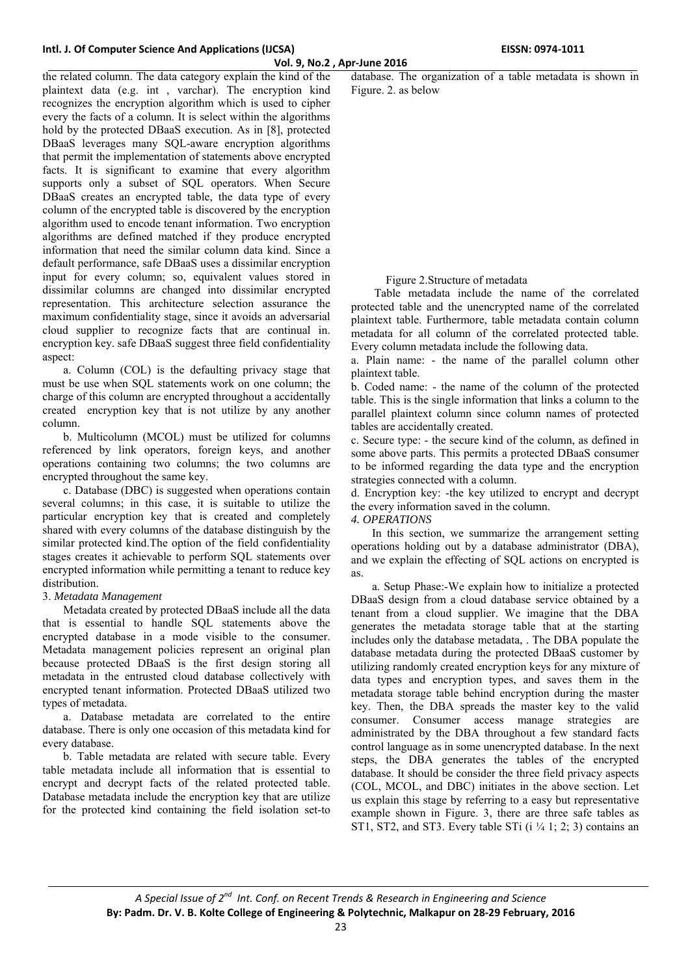the related column. The data category explain the kind of the plaintext data (e.g. int , varchar). The encryption kind recognizes the encryption algorithm which is used to cipher every the facts of a column. It is select within the algorithms hold by the protected DBaaS execution. As in [8], protected DBaaS leverages many SQL-aware encryption algorithms that permit the implementation of statements above encrypted facts. It is significant to examine that every algorithm supports only a subset of SQL operators. When Secure DBaaS creates an encrypted table, the data type of every column of the encrypted table is discovered by the encryption algorithm used to encode tenant information. Two encryption algorithms are defined matched if they produce encrypted information that need the similar column data kind. Since a default performance, safe DBaaS uses a dissimilar encryption input for every column; so, equivalent values stored in dissimilar columns are changed into dissimilar encrypted representation. This architecture selection assurance the maximum confidentiality stage, since it avoids an adversarial cloud supplier to recognize facts that are continual in. encryption key. safe DBaaS suggest three field confidentiality aspect:

a. Column (COL) is the defaulting privacy stage that must be use when SQL statements work on one column; the charge of this column are encrypted throughout a accidentally created encryption key that is not utilize by any another column.

b. Multicolumn (MCOL) must be utilized for columns referenced by link operators, foreign keys, and another operations containing two columns; the two columns are encrypted throughout the same key.

c. Database (DBC) is suggested when operations contain several columns; in this case, it is suitable to utilize the particular encryption key that is created and completely shared with every columns of the database distinguish by the similar protected kind.The option of the field confidentiality stages creates it achievable to perform SQL statements over encrypted information while permitting a tenant to reduce key distribution.

# 3. *Metadata Management*

Metadata created by protected DBaaS include all the data that is essential to handle SQL statements above the encrypted database in a mode visible to the consumer. Metadata management policies represent an original plan because protected DBaaS is the first design storing all metadata in the entrusted cloud database collectively with encrypted tenant information. Protected DBaaS utilized two types of metadata.

a. Database metadata are correlated to the entire database. There is only one occasion of this metadata kind for every database.

b. Table metadata are related with secure table. Every table metadata include all information that is essential to encrypt and decrypt facts of the related protected table. Database metadata include the encryption key that are utilize for the protected kind containing the field isolation set-to

database. The organization of a table metadata is shown in Figure. 2. as below

Figure 2.Structure of metadata

 Table metadata include the name of the correlated protected table and the unencrypted name of the correlated plaintext table. Furthermore, table metadata contain column metadata for all column of the correlated protected table. Every column metadata include the following data.

a. Plain name: - the name of the parallel column other plaintext table.

b. Coded name: - the name of the column of the protected table. This is the single information that links a column to the parallel plaintext column since column names of protected tables are accidentally created.

c. Secure type: - the secure kind of the column, as defined in some above parts. This permits a protected DBaaS consumer to be informed regarding the data type and the encryption strategies connected with a column.

d. Encryption key: -the key utilized to encrypt and decrypt the every information saved in the column.

### *4. OPERATIONS*

In this section, we summarize the arrangement setting operations holding out by a database administrator (DBA), and we explain the effecting of SQL actions on encrypted is as.

a. Setup Phase:-We explain how to initialize a protected DBaaS design from a cloud database service obtained by a tenant from a cloud supplier. We imagine that the DBA generates the metadata storage table that at the starting includes only the database metadata, . The DBA populate the database metadata during the protected DBaaS customer by utilizing randomly created encryption keys for any mixture of data types and encryption types, and saves them in the metadata storage table behind encryption during the master key. Then, the DBA spreads the master key to the valid consumer. Consumer access manage strategies are administrated by the DBA throughout a few standard facts control language as in some unencrypted database. In the next steps, the DBA generates the tables of the encrypted database. It should be consider the three field privacy aspects (COL, MCOL, and DBC) initiates in the above section. Let us explain this stage by referring to a easy but representative example shown in Figure. 3, there are three safe tables as ST1, ST2, and ST3. Every table STi  $(i \frac{1}{4} 1; 2; 3)$  contains an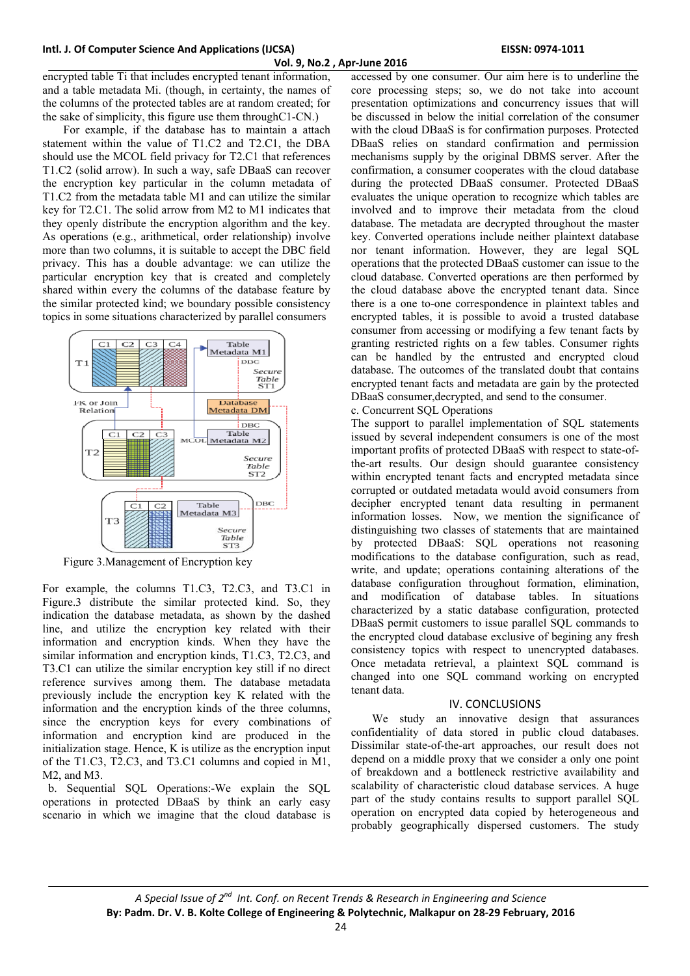**Vol. 9, No.2 , Apr‐June 2016**

encrypted table Ti that includes encrypted tenant information, and a table metadata Mi. (though, in certainty, the names of the columns of the protected tables are at random created; for the sake of simplicity, this figure use them throughC1-CN.)

For example, if the database has to maintain a attach statement within the value of T1.C2 and T2.C1, the DBA should use the MCOL field privacy for T2.C1 that references T1.C2 (solid arrow). In such a way, safe DBaaS can recover the encryption key particular in the column metadata of T1.C2 from the metadata table M1 and can utilize the similar key for T2.C1. The solid arrow from M2 to M1 indicates that they openly distribute the encryption algorithm and the key. As operations (e.g., arithmetical, order relationship) involve more than two columns, it is suitable to accept the DBC field privacy. This has a double advantage: we can utilize the particular encryption key that is created and completely shared within every the columns of the database feature by the similar protected kind; we boundary possible consistency topics in some situations characterized by parallel consumers



Figure 3.Management of Encryption key

For example, the columns T1.C3, T2.C3, and T3.C1 in Figure.3 distribute the similar protected kind. So, they indication the database metadata, as shown by the dashed line, and utilize the encryption key related with their information and encryption kinds. When they have the similar information and encryption kinds, T1.C3, T2.C3, and T3.C1 can utilize the similar encryption key still if no direct reference survives among them. The database metadata previously include the encryption key K related with the information and the encryption kinds of the three columns, since the encryption keys for every combinations of information and encryption kind are produced in the initialization stage. Hence, K is utilize as the encryption input of the T1.C3, T2.C3, and T3.C1 columns and copied in M1, M2, and M3.

 b. Sequential SQL Operations:-We explain the SQL operations in protected DBaaS by think an early easy scenario in which we imagine that the cloud database is

accessed by one consumer. Our aim here is to underline the core processing steps; so, we do not take into account presentation optimizations and concurrency issues that will be discussed in below the initial correlation of the consumer with the cloud DBaaS is for confirmation purposes. Protected DBaaS relies on standard confirmation and permission mechanisms supply by the original DBMS server. After the confirmation, a consumer cooperates with the cloud database during the protected DBaaS consumer. Protected DBaaS evaluates the unique operation to recognize which tables are involved and to improve their metadata from the cloud database. The metadata are decrypted throughout the master key. Converted operations include neither plaintext database nor tenant information. However, they are legal SQL operations that the protected DBaaS customer can issue to the cloud database. Converted operations are then performed by the cloud database above the encrypted tenant data. Since there is a one to-one correspondence in plaintext tables and encrypted tables, it is possible to avoid a trusted database consumer from accessing or modifying a few tenant facts by granting restricted rights on a few tables. Consumer rights can be handled by the entrusted and encrypted cloud database. The outcomes of the translated doubt that contains encrypted tenant facts and metadata are gain by the protected DBaaS consumer,decrypted, and send to the consumer.

#### c. Concurrent SQL Operations

The support to parallel implementation of SQL statements issued by several independent consumers is one of the most important profits of protected DBaaS with respect to state-ofthe-art results. Our design should guarantee consistency within encrypted tenant facts and encrypted metadata since corrupted or outdated metadata would avoid consumers from decipher encrypted tenant data resulting in permanent information losses. Now, we mention the significance of distinguishing two classes of statements that are maintained by protected DBaaS: SQL operations not reasoning modifications to the database configuration, such as read, write, and update; operations containing alterations of the database configuration throughout formation, elimination, and modification of database tables. In situations characterized by a static database configuration, protected DBaaS permit customers to issue parallel SQL commands to the encrypted cloud database exclusive of begining any fresh consistency topics with respect to unencrypted databases. Once metadata retrieval, a plaintext SQL command is changed into one SQL command working on encrypted tenant data.

## IV. CONCLUSIONS

We study an innovative design that assurances confidentiality of data stored in public cloud databases. Dissimilar state-of-the-art approaches, our result does not depend on a middle proxy that we consider a only one point of breakdown and a bottleneck restrictive availability and scalability of characteristic cloud database services. A huge part of the study contains results to support parallel SQL operation on encrypted data copied by heterogeneous and probably geographically dispersed customers. The study